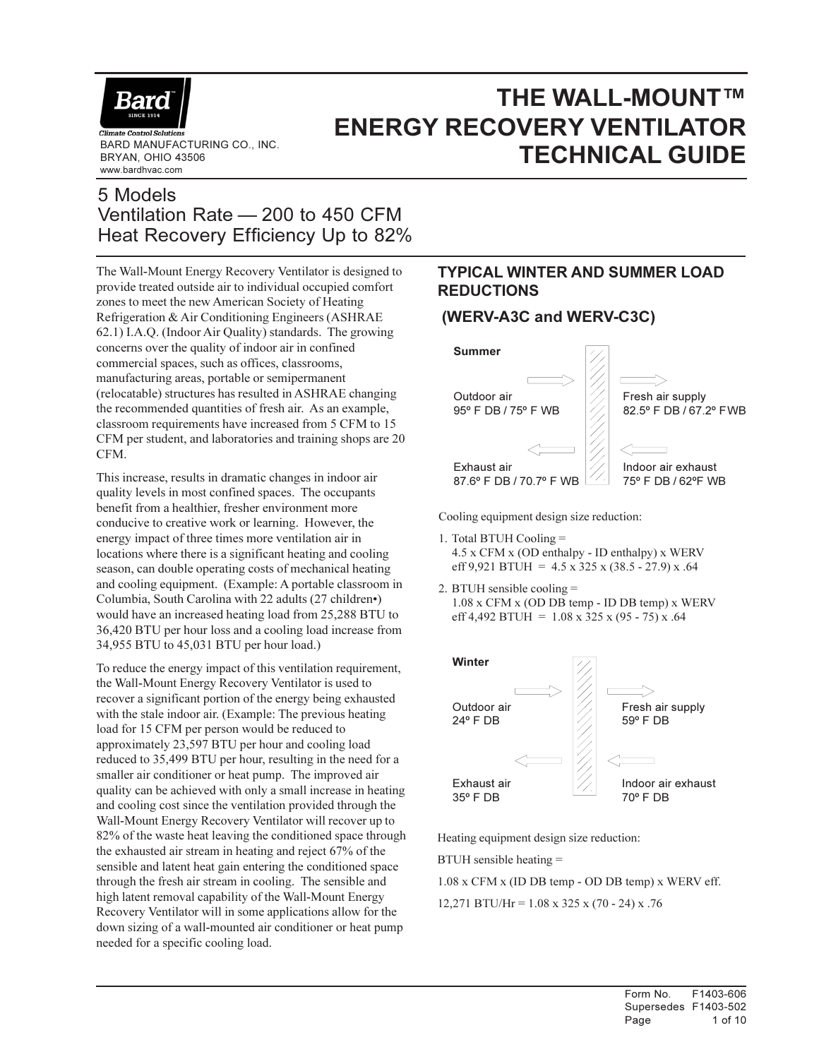

BRYAN, OHIO 43506 www.bardhvac.com

## THE WALL-MOUNT™ ENERGY RECOVERY VENTILATOR BARD MANUFACTURING CO., INC. THE SARD MANUFACTURING CO., INC. THE SARD **MANUFACTURING CO., INC.**

## 5 Models Ventilation Rate — 200 to 450 CFM Heat Recovery Efficiency Up to 82%

The Wall-Mount Energy Recovery Ventilator is designed to provide treated outside air to individual occupied comfort zones to meet the new American Society of Heating Refrigeration & Air Conditioning Engineers (ASHRAE 62.1) I.A.Q. (Indoor Air Quality) standards. The growing concerns over the quality of indoor air in confined commercial spaces, such as offices, classrooms, manufacturing areas, portable or semipermanent (relocatable) structures has resulted in ASHRAE changing the recommended quantities of fresh air. As an example, classroom requirements have increased from 5 CFM to 15 CFM per student, and laboratories and training shops are 20 CFM.

This increase, results in dramatic changes in indoor air quality levels in most confined spaces. The occupants benefit from a healthier, fresher environment more conducive to creative work or learning. However, the energy impact of three times more ventilation air in locations where there is a significant heating and cooling season, can double operating costs of mechanical heating and cooling equipment. (Example: A portable classroom in Columbia, South Carolina with 22 adults (27 children•) would have an increased heating load from 25,288 BTU to 36,420 BTU per hour loss and a cooling load increase from 34,955 BTU to 45,031 BTU per hour load.)

To reduce the energy impact of this ventilation requirement, the Wall-Mount Energy Recovery Ventilator is used to recover a significant portion of the energy being exhausted with the stale indoor air. (Example: The previous heating load for 15 CFM per person would be reduced to approximately 23,597 BTU per hour and cooling load reduced to 35,499 BTU per hour, resulting in the need for a smaller air conditioner or heat pump. The improved air quality can be achieved with only a small increase in heating and cooling cost since the ventilation provided through the Wall-Mount Energy Recovery Ventilator will recover up to 82% of the waste heat leaving the conditioned space through the exhausted air stream in heating and reject 67% of the sensible and latent heat gain entering the conditioned space through the fresh air stream in cooling. The sensible and high latent removal capability of the Wall-Mount Energy Recovery Ventilator will in some applications allow for the down sizing of a wall-mounted air conditioner or heat pump needed for a specific cooling load.

## TYPICAL WINTER AND SUMMER LOAD REDUCTIONS

## (WERV-A3C and WERV-C3C)



Cooling equipment design size reduction:

- 1. Total BTUH Cooling = 4.5 x CFM x (OD enthalpy - ID enthalpy) x WERV eff 9,921 BTUH =  $4.5 \times 325 \times (38.5 - 27.9) \times .64$
- 2. BTUH sensible cooling = 1.08 x CFM x (OD DB temp - ID DB temp) x WERV eff 4,492 BTUH =  $1.08 \times 325 \times (95 - 75) \times .64$



Heating equipment design size reduction:

BTUH sensible heating =

1.08 x CFM x (ID DB temp - OD DB temp) x WERV eff. 12,271 BTU/Hr =  $1.08 \times 325 \times (70 - 24) \times .76$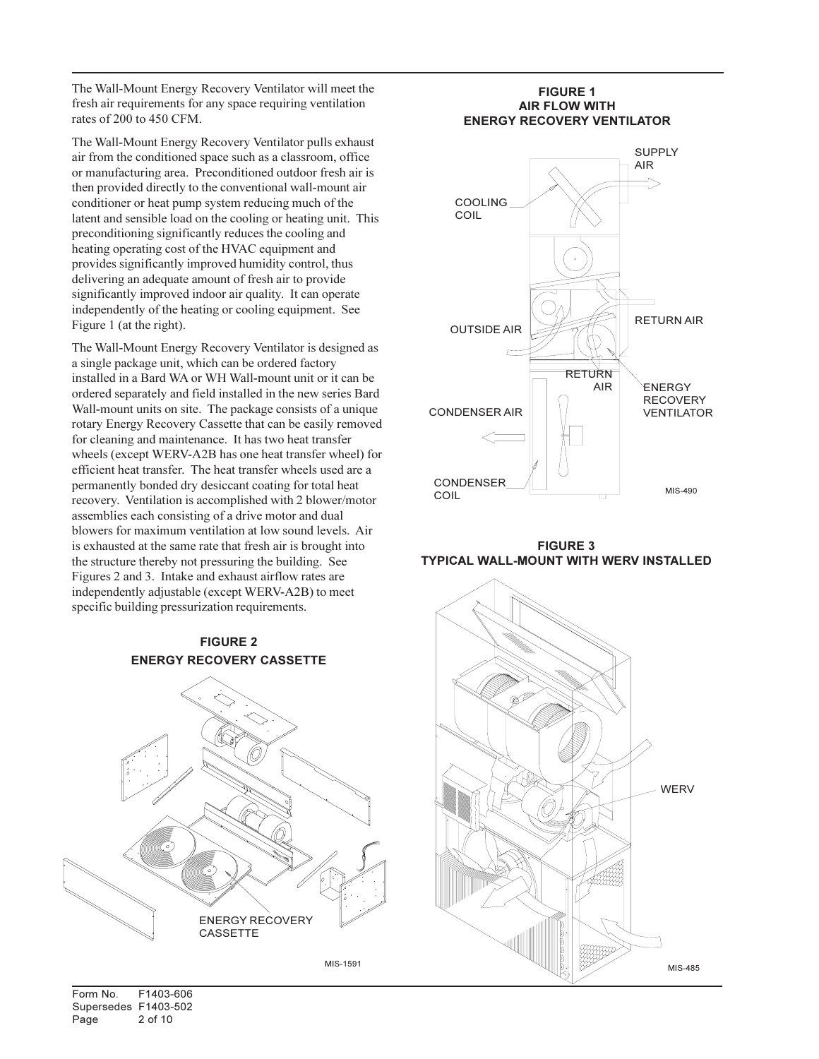The Wall-Mount Energy Recovery Ventilator will meet the fresh air requirements for any space requiring ventilation rates of 200 to 450 CFM.

The Wall-Mount Energy Recovery Ventilator pulls exhaust air from the conditioned space such as a classroom, office or manufacturing area. Preconditioned outdoor fresh air is then provided directly to the conventional wall-mount air conditioner or heat pump system reducing much of the latent and sensible load on the cooling or heating unit. This preconditioning significantly reduces the cooling and heating operating cost of the HVAC equipment and provides significantly improved humidity control, thus delivering an adequate amount of fresh air to provide significantly improved indoor air quality. It can operate independently of the heating or cooling equipment. See Figure 1 (at the right).

The Wall-Mount Energy Recovery Ventilator is designed as a single package unit, which can be ordered factory installed in a Bard WA or WH Wall-mount unit or it can be ordered separately and field installed in the new series Bard Wall-mount units on site. The package consists of a unique rotary Energy Recovery Cassette that can be easily removed for cleaning and maintenance. It has two heat transfer wheels (except WERV-A2B has one heat transfer wheel) for efficient heat transfer. The heat transfer wheels used are a permanently bonded dry desiccant coating for total heat recovery. Ventilation is accomplished with 2 blower/motor assemblies each consisting of a drive motor and dual blowers for maximum ventilation at low sound levels. Air is exhausted at the same rate that fresh air is brought into the structure thereby not pressuring the building. See Figures 2 and 3. Intake and exhaust airflow rates are independently adjustable (except WERV-A2B) to meet specific building pressurization requirements.

#### FIGURE 2 ENERGY RECOVERY CASSETTE



MIS-1591

#### FIGURE 1 AIR FLOW WITH ENERGY RECOVERY VENTILATOR



FIGURE 3 TYPICAL WALL-MOUNT WITH WERV INSTALLED

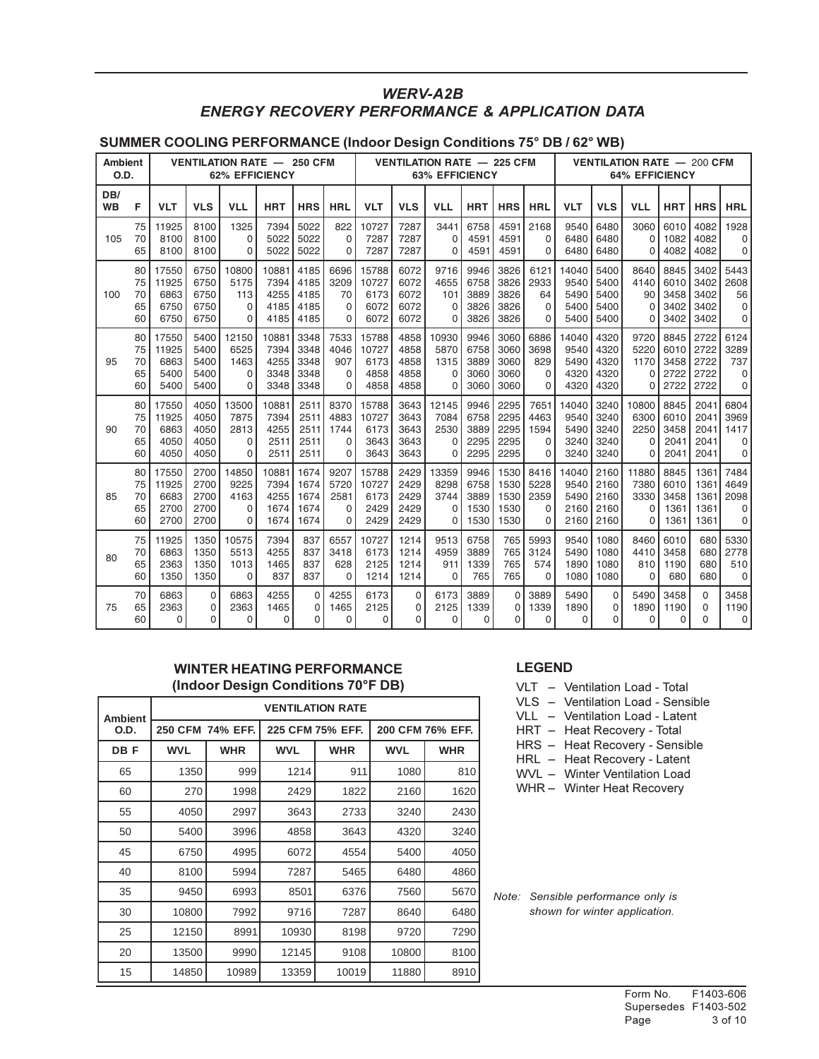## WERV-A2B ENERGY RECOVERY PERFORMANCE & APPLICATION DATA

#### SUMMER COOLING PERFORMANCE (Indoor Design Conditions 75° DB / 62° WB)

| VENTILATION RATE - 250 CFM<br>Ambient<br>O.D.<br><b>62% EFFICIENCY</b> |    |            |             |            |            |             | <b>VENTILATION RATE - 225 CFM</b><br><b>63% EFFICIENCY</b> |            |             |            |            |            | <b>VENTILATION RATE - 200 CFM</b><br><b>64% EFFICIENCY</b> |            |            |            |            |            |            |
|------------------------------------------------------------------------|----|------------|-------------|------------|------------|-------------|------------------------------------------------------------|------------|-------------|------------|------------|------------|------------------------------------------------------------|------------|------------|------------|------------|------------|------------|
| DB/<br><b>WB</b>                                                       | F  | <b>VLT</b> | <b>VLS</b>  | <b>VLL</b> | <b>HRT</b> | <b>HRS</b>  | <b>HRL</b>                                                 | <b>VLT</b> | <b>VLS</b>  | <b>VLL</b> | <b>HRT</b> | <b>HRS</b> | <b>HRL</b>                                                 | <b>VLT</b> | <b>VLS</b> | <b>VLL</b> | <b>HRT</b> | <b>HRS</b> | <b>HRL</b> |
| 105                                                                    | 75 | 11925      | 8100        | 1325       | 7394       | 5022        | 822                                                        | 10727      | 7287        | 3441       | 6758       | 4591       | 2168                                                       | 9540       | 6480       | 3060       | 6010       | 4082       | 1928       |
|                                                                        | 70 | 8100       | 8100        | 0          | 5022       | 5022        | $\Omega$                                                   | 7287       | 7287        | $\Omega$   | 4591       | 4591       | $\Omega$                                                   | 6480       | 6480       | $\Omega$   | 1082       | 4082       | $\Omega$   |
|                                                                        | 65 | 8100       | 8100        | 0          | 5022       | 5022        | 0                                                          | 7287       | 7287        | $\Omega$   | 4591       | 4591       | $\Omega$                                                   | 6480       | 6480       | $\Omega$   | 4082       | 4082       | 0          |
| 100                                                                    | 80 | 17550      | 6750        | 10800      | 10881      | 4185        | 6696                                                       | 15788      | 6072        | 9716       | 9946       | 3826       | 6121                                                       | 14040      | 5400       | 8640       | 8845       | 3402       | 5443       |
|                                                                        | 75 | 11925      | 6750        | 5175       | 7394       | 4185        | 3209                                                       | 10727      | 6072        | 4655       | 6758       | 3826       | 2933                                                       | 9540       | 5400       | 4140       | 6010       | 3402       | 2608       |
|                                                                        | 70 | 6863       | 6750        | 113        | 4255       | 4185        | 70                                                         | 6173       | 6072        | 101        | 3889       | 3826       | 64                                                         | 5490       | 5400       | 90         | 3458       | 3402       | 56         |
|                                                                        | 65 | 6750       | 6750        | 0          | 4185       | 4185        | $\Omega$                                                   | 6072       | 6072        | $\Omega$   | 3826       | 3826       | $\Omega$                                                   | 5400       | 5400       | $\Omega$   | 3402       | 3402       | $\Omega$   |
|                                                                        | 60 | 6750       | 6750        | 0          | 4185       | 4185        | O                                                          | 6072       | 6072        | 0          | 3826       | 3826       | $\Omega$                                                   | 5400       | 5400       | 0          | 3402       | 3402       | $\Omega$   |
| 95                                                                     | 80 | 17550      | 5400        | 12150      | 10881      | 3348        | 7533                                                       | 15788      | 4858        | 10930      | 9946       | 3060       | 6886                                                       | 14040      | 4320       | 9720       | 8845       | 2722       | 6124       |
|                                                                        | 75 | 11925      | 5400        | 6525       | 7394       | 3348        | 4046                                                       | 10727      | 4858        | 5870       | 6758       | 3060       | 3698                                                       | 9540       | 4320       | 5220       | 6010       | 2722       | 3289       |
|                                                                        | 70 | 6863       | 5400        | 1463       | 4255       | 3348        | 907                                                        | 6173       | 4858        | 1315       | 3889       | 3060       | 829                                                        | 5490       | 4320       | 1170       | 3458       | 2722       | 737        |
|                                                                        | 65 | 5400       | 5400        | 0          | 3348       | 3348        | $\Omega$                                                   | 4858       | 4858        | $\Omega$   | 3060       | 3060       | 0                                                          | 4320       | 4320       | 0          | 2722       | 2722       | 0          |
|                                                                        | 60 | 5400       | 5400        | 0          | 3348       | 3348        | 0                                                          | 4858       | 4858        | ი          | 3060       | 3060       | $\Omega$                                                   | 4320       | 4320       | 0          | 2722       | 2722       | 0          |
| 90                                                                     | 80 | 17550      | 4050        | 13500      | 10881      | 2511        | 8370                                                       | 15788      | 3643        | 12145      | 9946       | 2295       | 7651                                                       | 14040      | 3240       | 10800      | 8845       | 2041       | 6804       |
|                                                                        | 75 | 11925      | 4050        | 7875       | 7394       | 2511        | 4883                                                       | 10727      | 3643        | 7084       | 6758       | 2295       | 4463                                                       | 9540       | 3240       | 6300       | 6010       | 2041       | 3969       |
|                                                                        | 70 | 6863       | 4050        | 2813       | 4255       | 2511        | 1744                                                       | 6173       | 3643        | 2530       | 3889       | 2295       | 1594                                                       | 5490       | 3240       | 2250       | 3458       | 2041       | 1417       |
|                                                                        | 65 | 4050       | 4050        | 0          | 2511       | 2511        | $\Omega$                                                   | 3643       | 3643        | O          | 2295       | 2295       | $\Omega$                                                   | 3240       | 3240       | 0          | 2041       | 2041       | $\Omega$   |
|                                                                        | 60 | 4050       | 4050        | 0          | 2511       | 2511        | 0                                                          | 3643       | 3643        | 0          | 2295       | 2295       | $\Omega$                                                   | 3240       | 3240       | 0          | 2041       | 2041       | $\Omega$   |
| 85                                                                     | 80 | 17550      | 2700        | 14850      | 10881      | 1674        | 9207                                                       | 15788      | 2429        | 13359      | 9946       | 1530       | 8416                                                       | 14040      | 2160       | 11880      | 8845       | 1361       | 7484       |
|                                                                        | 75 | 11925      | 2700        | 9225       | 7394       | 1674        | 5720                                                       | 10727      | 2429        | 8298       | 6758       | 1530       | 5228                                                       | 9540       | 2160       | 7380       | 6010       | 1361       | 4649       |
|                                                                        | 70 | 6683       | 2700        | 4163       | 4255       | 1674        | 2581                                                       | 6173       | 2429        | 3744       | 3889       | 1530       | 2359                                                       | 5490       | 2160       | 3330       | 3458       | 1361       | 2098       |
|                                                                        | 65 | 2700       | 2700        | 0          | 1674       | 1674        | 0                                                          | 2429       | 2429        | $\Omega$   | 1530       | 1530       | 0                                                          | 2160       | 2160       | 0          | 1361       | 1361       | 0          |
|                                                                        | 60 | 2700       | 2700        | $\Omega$   | 1674       | 1674        | 0                                                          | 2429       | 2429        | 0          | 1530       | 1530       | $\Omega$                                                   | 2160       | 2160       | $\Omega$   | 1361       | 1361       | 0          |
| 80                                                                     | 75 | 11925      | 1350        | 10575      | 7394       | 837         | 6557                                                       | 10727      | 1214        | 9513       | 6758       | 765        | 5993                                                       | 9540       | 1080       | 8460       | 6010       | 680        | 5330       |
|                                                                        | 70 | 6863       | 1350        | 5513       | 4255       | 837         | 3418                                                       | 6173       | 1214        | 4959       | 3889       | 765        | 3124                                                       | 5490       | 1080       | 4410       | 3458       | 680        | 2778       |
|                                                                        | 65 | 2363       | 1350        | 1013       | 1465       | 837         | 628                                                        | 2125       | 1214        | 911        | 1339       | 765        | 574                                                        | 1890       | 1080       | 810        | 1190       | 680        | 510        |
|                                                                        | 60 | 1350       | 1350        | 0          | 837        | 837         | $\Omega$                                                   | 1214       | 1214        | 0          | 765        | 765        | $\Omega$                                                   | 1080       | 1080       | $\Omega$   | 680        | 680        | $\Omega$   |
| 75                                                                     | 70 | 6863       | $\Omega$    | 6863       | 4255       | $\Omega$    | 4255                                                       | 6173       | $\mathbf 0$ | 6173       | 3889       | $\Omega$   | 3889                                                       | 5490       | $\Omega$   | 5490       | 3458       | $\Omega$   | 3458       |
|                                                                        | 65 | 2363       | $\Omega$    | 2363       | 1465       | $\Omega$    | 1465                                                       | 2125       | $\Omega$    | 2125       | 1339       | 0          | 1339                                                       | 1890       | 0          | 1890       | 1190       | 0          | 1190       |
|                                                                        | 60 | $\Omega$   | $\mathbf 0$ | 0          | $\Omega$   | $\mathbf 0$ | 0                                                          | 0          | $\mathbf 0$ | 0          | 0          | 0          | 0                                                          | 0          | 0          | 0          | 0          | 0          | 0          |

#### WINTER HEATING PERFORMANCE (Indoor Design Conditions 70°F DB)

| <b>Ambient</b> |            |                  |            | <b>VENTILATION RATE</b> |                  |            |  |
|----------------|------------|------------------|------------|-------------------------|------------------|------------|--|
| O.D.           |            | 250 CFM 74% EFF. |            | 225 CFM 75% EFF.        | 200 CFM 76% EFF. |            |  |
| DB F           | <b>WVL</b> | <b>WHR</b>       | <b>WVL</b> | <b>WHR</b>              | <b>WVL</b>       | <b>WHR</b> |  |
| 65             | 1350       | 999              | 1214       | 911                     | 1080             | 810        |  |
| 60             | 270        | 1998             | 2429       | 1822                    | 2160             | 1620       |  |
| 55             | 4050       | 2997             | 3643       | 2733                    | 3240             | 2430       |  |
| 50             | 5400       | 3996             | 4858       | 3643                    | 4320             | 3240       |  |
| 45             | 6750       | 4995             | 6072       | 4554                    | 5400             | 4050       |  |
| 40             | 8100       | 5994             | 7287       | 5465                    | 6480             | 4860       |  |
| 35             | 9450       | 6993             | 8501       | 6376                    | 7560             | 5670       |  |
| 30             | 10800      | 7992             | 9716       | 7287                    | 8640             | 6480       |  |
| 25             | 12150      | 8991             | 10930      | 8198                    | 9720             | 7290       |  |
| 20             | 13500      | 9990             | 12145      | 9108                    | 10800            | 8100       |  |
| 15             | 14850      | 10989            | 13359      | 10019                   | 11880            | 8910       |  |

### LEGEND

| VLT | Ventilation Load - Total |  |
|-----|--------------------------|--|
|-----|--------------------------|--|

- VLS Ventilation Load Sensible
- VLL Ventilation Load Latent
- HRT Heat Recovery Total
- HRS Heat Recovery Sensible
- HRL Heat Recovery Latent
- WVL Winter Ventilation Load
- WHR Winter Heat Recovery

Note: Sensible performance only is shown for winter application.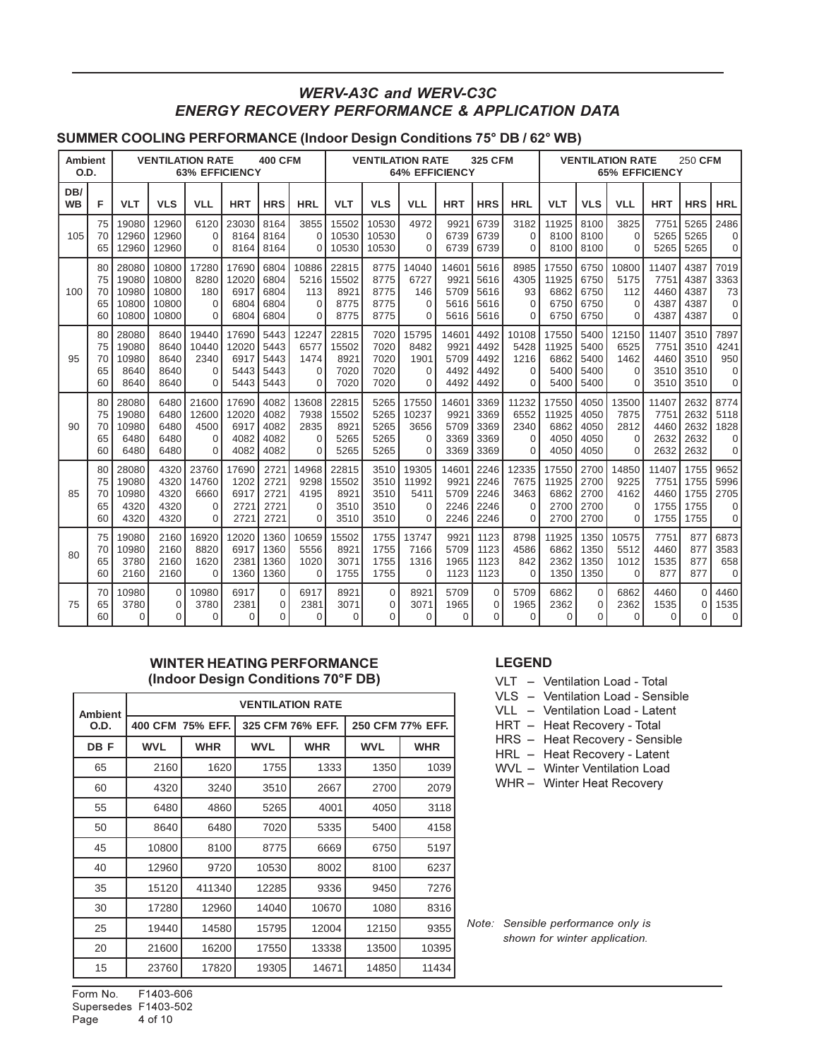## WERV-A3C and WERV-C3C ENERGY RECOVERY PERFORMANCE & APPLICATION DATA

#### SUMMER COOLING PERFORMANCE (Indoor Design Conditions 75° DB / 62° WB)

| Ambient<br>O.D.  |    | <b>VENTILATION RATE</b><br><b>400 CFM</b><br><b>63% EFFICIENCY</b> |            |             |            | <b>VENTILATION RATE</b><br><b>325 CFM</b><br><b>64% EFFICIENCY</b> |             |            |             | <b>VENTILATION RATE</b><br>250 CFM<br><b>65% EFFICIENCY</b> |            |            |            |            |            |             |            |            |          |
|------------------|----|--------------------------------------------------------------------|------------|-------------|------------|--------------------------------------------------------------------|-------------|------------|-------------|-------------------------------------------------------------|------------|------------|------------|------------|------------|-------------|------------|------------|----------|
| DB/<br><b>WB</b> | F  | <b>VLT</b>                                                         | <b>VLS</b> | <b>VLL</b>  | <b>HRT</b> | <b>HRS</b>                                                         | <b>HRL</b>  | <b>VLT</b> | <b>VLS</b>  | <b>VLL</b>                                                  | <b>HRT</b> | <b>HRS</b> | <b>HRL</b> | <b>VLT</b> | <b>VLS</b> | <b>VLL</b>  | <b>HRT</b> | <b>HRS</b> | HRL      |
| 105              | 75 | 19080                                                              | 12960      | 6120        | 23030      | 8164                                                               | 3855        | 15502      | 10530       | 4972                                                        | 9921       | 6739       | 3182       | 11925      | 8100       | 3825        | 7751       | 5265       | 2486     |
|                  | 70 | 12960                                                              | 12960      | 0           | 8164       | 8164                                                               | $\Omega$    | 10530      | 10530       | $\Omega$                                                    | 6739       | 6739       | $\Omega$   | 8100       | 8100       | $\Omega$    | 5265       | 5265       | $\Omega$ |
|                  | 65 | 12960                                                              | 12960      | $\Omega$    | 8164       | 8164                                                               | $\Omega$    | 10530      | 10530       | $\Omega$                                                    | 6739       | 6739       | $\Omega$   | 8100       | 8100       | $\Omega$    | 5265       | 5265       | $\Omega$ |
| 100              | 80 | 28080                                                              | 10800      | 17280       | 17690      | 6804                                                               | 10886       | 22815      | 8775        | 14040                                                       | 14601      | 5616       | 8985       | 17550      | 6750       | 10800       | 11407      | 4387       | 7019     |
|                  | 75 | 19080                                                              | 10800      | 8280        | 12020      | 6804                                                               | 5216        | 15502      | 8775        | 6727                                                        | 9921       | 5616       | 4305       | 11925      | 6750       | 5175        | 7751       | 4387       | 3363     |
|                  | 70 | 10980                                                              | 10800      | 180         | 6917       | 6804                                                               | 113         | 8921       | 8775        | 146                                                         | 5709       | 5616       | 93         | 6862       | 6750       | 112         | 4460       | 4387       | 73       |
|                  | 65 | 10800                                                              | 10800      | $\Omega$    | 6804       | 6804                                                               | $\Omega$    | 8775       | 8775        | $\Omega$                                                    | 5616       | 5616       | $\Omega$   | 6750       | 6750       | $\Omega$    | 4387       | 4387       | $\Omega$ |
|                  | 60 | 10800                                                              | 10800      | $\Omega$    | 6804       | 6804                                                               | $\Omega$    | 8775       | 8775        | $\Omega$                                                    | 5616       | 5616       | $\Omega$   | 6750       | 6750       | $\Omega$    | 4387       | 4387       | $\Omega$ |
| 95               | 80 | 28080                                                              | 8640       | 19440       | 17690      | 5443                                                               | 12247       | 22815      | 7020        | 15795                                                       | 14601      | 4492       | 10108      | 17550      | 5400       | 12150       | 11407      | 3510       | 7897     |
|                  | 75 | 19080                                                              | 8640       | 10440       | 12020      | 5443                                                               | 6577        | 15502      | 7020        | 8482                                                        | 9921       | 4492       | 5428       | 11925      | 5400       | 6525        | 7751       | 3510       | 4241     |
|                  | 70 | 10980                                                              | 8640       | 2340        | 6917       | 5443                                                               | 1474        | 8921       | 7020        | 1901                                                        | 5709       | 4492       | 1216       | 6862       | 5400       | 1462        | 4460       | 3510       | 950      |
|                  | 65 | 8640                                                               | 8640       | $\Omega$    | 5443       | 5443                                                               | $\Omega$    | 7020       | 7020        | $\Omega$                                                    | 4492       | 4492       | $\Omega$   | 5400       | 5400       | $\Omega$    | 3510       | 3510       | $\Omega$ |
|                  | 60 | 8640                                                               | 8640       | $\Omega$    | 5443       | 5443                                                               | $\Omega$    | 7020       | 7020        | $\Omega$                                                    | 4492       | 4492       | 0          | 5400       | 5400       | $\Omega$    | 3510       | 3510       | $\Omega$ |
| 90               | 80 | 28080                                                              | 6480       | 21600       | 17690      | 4082                                                               | 13608       | 22815      | 5265        | 17550                                                       | 14601      | 3369       | 11232      | 17550      | 4050       | 13500       | 11407      | 2632       | 8774     |
|                  | 75 | 19080                                                              | 6480       | 12600       | 12020      | 4082                                                               | 7938        | 15502      | 5265        | 10237                                                       | 9921       | 3369       | 6552       | 11925      | 4050       | 7875        | 7751       | 2632       | 5118     |
|                  | 70 | 10980                                                              | 6480       | 4500        | 6917       | 4082                                                               | 2835        | 8921       | 5265        | 3656                                                        | 5709       | 3369       | 2340       | 6862       | 4050       | 2812        | 4460       | 2632       | 1828     |
|                  | 65 | 6480                                                               | 6480       | $\Omega$    | 4082       | 4082                                                               | $\Omega$    | 5265       | 5265        | $\Omega$                                                    | 3369       | 3369       | $\Omega$   | 4050       | 4050       | $\Omega$    | 2632       | 2632       | $\Omega$ |
|                  | 60 | 6480                                                               | 6480       | $\Omega$    | 4082       | 4082                                                               | $\Omega$    | 5265       | 5265        | $\Omega$                                                    | 3369       | 3369       | $\Omega$   | 4050       | 4050       | $\Omega$    | 2632       | 2632       | $\Omega$ |
| 85               | 80 | 28080                                                              | 4320       | 23760       | 17690      | 2721                                                               | 14968       | 22815      | 3510        | 19305                                                       | 14601      | 2246       | 12335      | 17550      | 2700       | 14850       | 11407      | 1755       | 9652     |
|                  | 75 | 19080                                                              | 4320       | 14760       | 1202       | 2721                                                               | 9298        | 15502      | 3510        | 11992                                                       | 9921       | 2246       | 7675       | 11925      | 2700       | 9225        | 7751       | 1755       | 5996     |
|                  | 70 | 10980                                                              | 4320       | 6660        | 6917       | 2721                                                               | 4195        | 8921       | 3510        | 5411                                                        | 5709       | 2246       | 3463       | 6862       | 2700       | 4162        | 4460       | 1755       | 2705     |
|                  | 65 | 4320                                                               | 4320       | $\Omega$    | 272'       | 2721                                                               | $\Omega$    | 3510       | 3510        | $\Omega$                                                    | 2246       | 2246       | $\Omega$   | 2700       | 2700       | $\Omega$    | 1755       | 1755       | $\Omega$ |
|                  | 60 | 4320                                                               | 4320       | $\Omega$    | 2721       | 2721                                                               | $\Omega$    | 3510       | 3510        | $\Omega$                                                    | 2246       | 2246       | $\Omega$   | 2700       | 2700       | $\Omega$    | 1755       | 1755       | $\Omega$ |
| 80               | 75 | 19080                                                              | 2160       | 16920       | 12020      | 1360                                                               | 10659       | 15502      | 1755        | 13747                                                       | 9921       | 1123       | 8798       | 11925      | 1350       | 10575       | 7751       | 877        | 6873     |
|                  | 70 | 10980                                                              | 2160       | 8820        | 6917       | 1360                                                               | 5556        | 8921       | 1755        | 7166                                                        | 5709       | 1123       | 4586       | 6862       | 1350       | 5512        | 4460       | 877        | 3583     |
|                  | 65 | 3780                                                               | 2160       | 1620        | 2381       | 1360                                                               | 1020        | 3071       | 1755        | 1316                                                        | 1965       | 1123       | 842        | 2362       | 1350       | 1012        | 1535       | 877        | 658      |
|                  | 60 | 2160                                                               | 2160       | $\Omega$    | 1360       | 1360                                                               | $\mathbf 0$ | 1755       | 1755        | $\Omega$                                                    | 1123       | 1123       | $\Omega$   | 1350       | 1350       | $\Omega$    | 877        | 877        | $\Omega$ |
| 75               | 70 | 10980                                                              | $\Omega$   | 10980       | 6917       | $\mathbf 0$                                                        | 6917        | 8921       | $\mathbf 0$ | 8921                                                        | 5709       | $\Omega$   | 5709       | 6862       | $\Omega$   | 6862        | 4460       | $\Omega$   | 4460     |
|                  | 65 | 3780                                                               | $\Omega$   | 3780        | 2381       | $\mathbf 0$                                                        | 2381        | 3071       | 0           | 3071                                                        | 1965       | $\Omega$   | 1965       | 2362       | $\Omega$   | 2362        | 1535       | $\Omega$   | 1535     |
|                  | 60 | $\Omega$                                                           | $\Omega$   | $\mathbf 0$ | 0          | 0                                                                  | $\Omega$    | 0          | 0           | $\Omega$                                                    | $\Omega$   | 0          | 0          | 0          | 0          | $\mathbf 0$ | 0          | 0          | 0        |

#### WINTER HEATING PERFORMANCE (Indoor Design Conditions 70°F DB)

| <b>Ambient</b> |            |                  |            | <b>VENTILATION RATE</b> |            |                  |
|----------------|------------|------------------|------------|-------------------------|------------|------------------|
| O.D.           |            | 400 CFM 75% EFF. |            | 325 CFM 76% EFF.        |            | 250 CFM 77% EFF. |
| DB F           | <b>WVL</b> | <b>WHR</b>       | <b>WVL</b> | <b>WHR</b>              | <b>WVL</b> | <b>WHR</b>       |
| 65             | 2160       | 1620             | 1755       | 1333                    | 1350       | 1039             |
| 60             | 4320       | 3240             | 3510       | 2667                    | 2700       | 2079             |
| 55             | 6480       | 4860             | 5265       | 4001                    | 4050       | 3118             |
| 50             | 8640       | 6480             | 7020       | 5335                    | 5400       | 4158             |
| 45             | 10800      | 8100             | 8775       | 6669                    | 6750       | 5197             |
| 40             | 12960      | 9720             | 10530      | 8002                    | 8100       | 6237             |
| 35             | 15120      | 411340           | 12285      | 9336                    | 9450       | 7276             |
| 30             | 17280      | 12960            | 14040      | 10670                   | 1080       | 8316             |
| 25             | 19440      | 14580            | 15795      | 12004                   | 12150      | 9355             |
| 20             | 21600      | 16200            | 17550      | 13338                   | 13500      | 10395            |
| 15             | 23760      | 17820            | 19305      | 14671                   | 14850      | 11434            |

## LEGEND

- VLT Ventilation Load Total
- VLS Ventilation Load Sensible
- VLL Ventilation Load Latent
- HRT Heat Recovery Total
- HRS Heat Recovery Sensible
- HRL Heat Recovery Latent
- WVL Winter Ventilation Load
- WHR Winter Heat Recovery

Note: Sensible performance only is shown for winter application.

Form No. F1403-606 Supersedes F1403-502 Page 4 of 10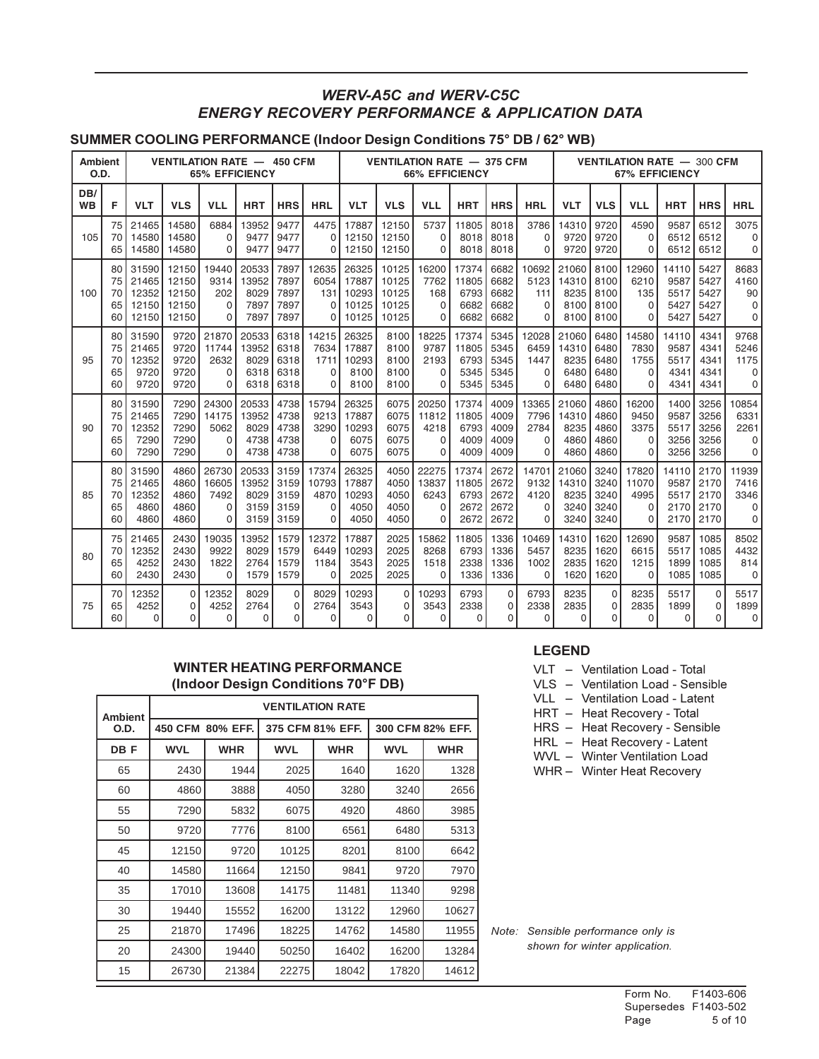## WERV-A5C and WERV-C5C ENERGY RECOVERY PERFORMANCE & APPLICATION DATA

### SUMMER COOLING PERFORMANCE (Indoor Design Conditions 75° DB / 62° WB)

| Ambient<br>O.D.  |    |            |            |            | <b>VENTILATION RATE - 450 CFM</b><br><b>65% EFFICIENCY</b> |            |            | <b>VENTILATION RATE - 375 CFM</b><br><b>66% EFFICIENCY</b> |            |            |            |            | <b>VENTILATION RATE - 300 CFM</b><br><b>67% EFFICIENCY</b> |       |            |            |            |            |            |
|------------------|----|------------|------------|------------|------------------------------------------------------------|------------|------------|------------------------------------------------------------|------------|------------|------------|------------|------------------------------------------------------------|-------|------------|------------|------------|------------|------------|
| DB/<br><b>WB</b> | F  | <b>VLT</b> | <b>VLS</b> | <b>VLL</b> | <b>HRT</b>                                                 | <b>HRS</b> | <b>HRL</b> | VLT                                                        | <b>VLS</b> | <b>VLL</b> | <b>HRT</b> | <b>HRS</b> | <b>HRL</b>                                                 | VLT   | <b>VLS</b> | <b>VLL</b> | <b>HRT</b> | <b>HRS</b> | <b>HRL</b> |
| 105              | 75 | 21465      | 14580      | 6884       | 13952                                                      | 9477       | 4475       | 17887                                                      | 12150      | 5737       | 11805      | 8018       | 3786                                                       | 14310 | 9720       | 4590       | 9587       | 6512       | 3075       |
|                  | 70 | 14580      | 14580      | $\Omega$   | 9477                                                       | 9477       | 0          | 12150                                                      | 12150      | $\Omega$   | 8018       | 8018       | $\Omega$                                                   | 9720  | 9720       | $\Omega$   | 6512       | 6512       | 0          |
|                  | 65 | 14580      | 14580      | $\Omega$   | 9477                                                       | 9477       | 0          | 12150                                                      | 12150      | 0          | 8018       | 8018       | 0                                                          | 9720  | 9720       | $\Omega$   | 6512       | 6512       | 0          |
| 100              | 80 | 31590      | 12150      | 19440      | 20533                                                      | 7897       | 12635      | 26325                                                      | 10125      | 16200      | 17374      | 6682       | 10692                                                      | 21060 | 8100       | 12960      | 14110      | 5427       | 8683       |
|                  | 75 | 21465      | 12150      | 9314       | 13952                                                      | 7897       | 6054       | 17887                                                      | 10125      | 7762       | 11805      | 6682       | 5123                                                       | 14310 | 8100       | 6210       | 9587       | 5427       | 4160       |
|                  | 70 | 12352      | 12150      | 202        | 8029                                                       | 7897       | 131        | 10293                                                      | 10125      | 168        | 6793       | 6682       | 111                                                        | 8235  | 8100       | 135        | 5517       | 5427       | 90         |
|                  | 65 | 12150      | 12150      | $\Omega$   | 7897                                                       | 7897       | $\Omega$   | 10125                                                      | 10125      | $\Omega$   | 6682       | 6682       | $\Omega$                                                   | 8100  | 8100       | $\Omega$   | 5427       | 5427       | $\Omega$   |
|                  | 60 | 12150      | 12150      | $\Omega$   | 7897                                                       | 7897       | 0          | 10125                                                      | 10125      | $\Omega$   | 6682       | 6682       | 0                                                          | 8100  | 8100       | $\Omega$   | 5427       | 5427       | $\Omega$   |
| 95               | 80 | 31590      | 9720       | 21870      | 20533                                                      | 6318       | 14215      | 26325                                                      | 8100       | 18225      | 17374      | 5345       | 12028                                                      | 21060 | 6480       | 14580      | 14110      | 4341       | 9768       |
|                  | 75 | 21465      | 9720       | 11744      | 13952                                                      | 6318       | 7634       | 17887                                                      | 8100       | 9787       | 11805      | 5345       | 6459                                                       | 14310 | 6480       | 7830       | 9587       | 4341       | 5246       |
|                  | 70 | 12352      | 9720       | 2632       | 8029                                                       | 6318       | 1711       | 10293                                                      | 8100       | 2193       | 6793       | 5345       | 1447                                                       | 8235  | 6480       | 1755       | 5517       | 4341       | 1175       |
|                  | 65 | 9720       | 9720       | $\Omega$   | 6318                                                       | 6318       | 0          | 8100                                                       | 8100       | $\Omega$   | 5345       | 5345       | $\Omega$                                                   | 6480  | 6480       | $\Omega$   | 4341       | 4341       | 0          |
|                  | 60 | 9720       | 9720       | $\Omega$   | 6318                                                       | 6318       | 0          | 8100                                                       | 8100       | $\Omega$   | 5345       | 5345       | 0                                                          | 6480  | 6480       | 0          | 4341       | 4341       | 0          |
| 90               | 80 | 31590      | 7290       | 24300      | 20533                                                      | 4738       | 15794      | 26325                                                      | 6075       | 20250      | 17374      | 4009       | 13365                                                      | 21060 | 4860       | 16200      | 1400       | 3256       | 10854      |
|                  | 75 | 21465      | 7290       | 14175      | 13952                                                      | 4738       | 9213       | 17887                                                      | 6075       | 11812      | 11805      | 4009       | 7796                                                       | 14310 | 4860       | 9450       | 9587       | 3256       | 6331       |
|                  | 70 | 12352      | 7290       | 5062       | 8029                                                       | 4738       | 3290       | 10293                                                      | 6075       | 4218       | 6793       | 4009       | 2784                                                       | 8235  | 4860       | 3375       | 5517       | 3256       | 2261       |
|                  | 65 | 7290       | 7290       | $\Omega$   | 4738                                                       | 4738       | 0          | 6075                                                       | 6075       | $\Omega$   | 4009       | 4009       | $\Omega$                                                   | 4860  | 4860       | $\Omega$   | 3256       | 3256       | 0          |
|                  | 60 | 7290       | 7290       | $\Omega$   | 4738                                                       | 4738       | $\Omega$   | 6075                                                       | 6075       | 0          | 4009       | 4009       | $\Omega$                                                   | 4860  | 4860       | 0          | 3256       | 3256       | $\Omega$   |
| 85               | 80 | 31590      | 4860       | 26730      | 20533                                                      | 3159       | 17374      | 26325                                                      | 4050       | 22275      | 17374      | 2672       | 14701                                                      | 21060 | 3240       | 17820      | 14110      | 2170       | 11939      |
|                  | 75 | 21465      | 4860       | 16605      | 13952                                                      | 3159       | 10793      | 17887                                                      | 4050       | 13837      | 11805      | 2672       | 9132                                                       | 14310 | 3240       | 11070      | 9587       | 2170       | 7416       |
|                  | 70 | 12352      | 4860       | 7492       | 8029                                                       | 3159       | 4870       | 10293                                                      | 4050       | 6243       | 6793       | 2672       | 4120                                                       | 8235  | 3240       | 4995       | 5517       | 2170       | 3346       |
|                  | 65 | 4860       | 4860       | 0          | 3159                                                       | 3159       | 0          | 4050                                                       | 4050       | 0          | 2672       | 2672       | 0                                                          | 3240  | 3240       | 0          | 2170       | 2170       | 0          |
|                  | 60 | 4860       | 4860       | $\Omega$   | 3159                                                       | 3159       | $\Omega$   | 4050                                                       | 4050       | $\Omega$   | 2672       | 2672       | $\Omega$                                                   | 3240  | 3240       | $\Omega$   | 2170       | 2170       | 0          |
| 80               | 75 | 21465      | 2430       | 19035      | 13952                                                      | 1579       | 12372      | 17887                                                      | 2025       | 15862      | 11805      | 1336       | 10469                                                      | 14310 | 1620       | 12690      | 9587       | 1085       | 8502       |
|                  | 70 | 12352      | 2430       | 9922       | 8029                                                       | 1579       | 6449       | 10293                                                      | 2025       | 8268       | 6793       | 1336       | 5457                                                       | 8235  | 1620       | 6615       | 5517       | 1085       | 4432       |
|                  | 65 | 4252       | 2430       | 1822       | 2764                                                       | 1579       | 1184       | 3543                                                       | 2025       | 1518       | 2338       | 1336       | 1002                                                       | 2835  | 1620       | 1215       | 1899       | 1085       | 814        |
|                  | 60 | 2430       | 2430       | $\Omega$   | 1579                                                       | 1579       | $\Omega$   | 2025                                                       | 2025       | $\Omega$   | 1336       | 1336       | $\Omega$                                                   | 1620  | 1620       | $\Omega$   | 1085       | 1085       | $\Omega$   |
| 75               | 70 | 12352      | $\Omega$   | 12352      | 8029                                                       | $\Omega$   | 8029       | 10293                                                      | $\Omega$   | 10293      | 6793       | $\Omega$   | 6793                                                       | 8235  | $\Omega$   | 8235       | 5517       | $\Omega$   | 5517       |
|                  | 65 | 4252       | 0          | 4252       | 2764                                                       | $\Omega$   | 2764       | 3543                                                       | 0          | 3543       | 2338       | $\Omega$   | 2338                                                       | 2835  | $\Omega$   | 2835       | 1899       | $\Omega$   | 1899       |
|                  | 60 | $\Omega$   | $\Omega$   | $\Omega$   | 0                                                          | $\Omega$   | 0          | 0                                                          | 0          | $\Omega$   | $\Omega$   | $\Omega$   | $\Omega$                                                   | 0     | $\Omega$   | $\Omega$   | $\Omega$   | $\Omega$   | 0          |

#### WINTER HEATING PERFORMANCE (Indoor Design Conditions 70°F DB)

| <b>Ambient</b> |            |                  |            | <b>VENTILATION RATE</b> |                  |            |  |
|----------------|------------|------------------|------------|-------------------------|------------------|------------|--|
| O.D.           |            | 450 CFM 80% EFF. |            | 375 CFM 81% EFF.        | 300 CFM 82% EFF. |            |  |
| DB F           | <b>WVL</b> | <b>WHR</b>       | <b>WVL</b> | <b>WHR</b>              | <b>WVL</b>       | <b>WHR</b> |  |
| 65             | 2430       | 1944             | 2025       | 1640                    | 1620             | 1328       |  |
| 60             | 4860       | 3888             | 4050       | 3280                    | 3240             | 2656       |  |
| 55             | 7290       | 5832             | 6075       | 4920                    | 4860             | 3985       |  |
| 50             | 9720       | 7776             | 8100       | 6561                    | 6480             | 5313       |  |
| 45             | 12150      | 9720             | 10125      | 8201                    | 8100             | 6642       |  |
| 40             | 14580      | 11664            | 12150      | 9841                    | 9720             | 7970       |  |
| 35             | 17010      | 13608            | 14175      | 11481                   | 11340            | 9298       |  |
| 30             | 19440      | 15552            | 16200      | 13122                   | 12960            | 10627      |  |
| 25             | 21870      | 17496            | 18225      | 14762                   | 14580            | 11955      |  |
| 20             | 24300      | 19440            | 50250      | 16402                   | 16200            | 13284      |  |
| 15             | 26730      | 21384            | 22275      | 18042                   | 17820            | 14612      |  |

## LEGEND

| <b>VLT</b> | Ventilation Load - Total |
|------------|--------------------------|
|            |                          |

- VLS Ventilation Load Sensible
- VLL Ventilation Load Latent
- HRT Heat Recovery Total
- HRS Heat Recovery Sensible
- HRL Heat Recovery Latent
- WVL Winter Ventilation Load
- WHR Winter Heat Recovery

Note: Sensible performance only is shown for winter application.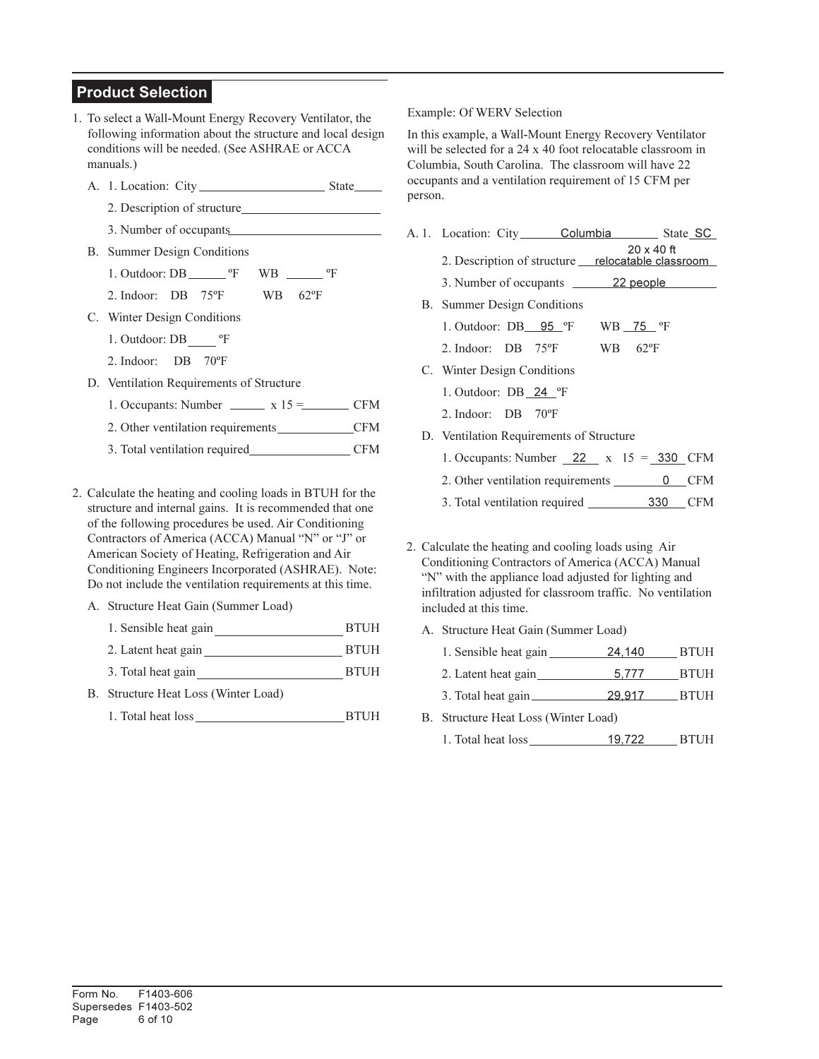## Product Selection

- 1. To select a Wall-Mount Energy Recovery Ventilator, the following information about the structure and local design conditions will be needed. (See ASHRAE or ACCA manuals.)
	- A. 1. Location: City State
		- 2. Description of structure
		- 3. Number of occupants
	- B. Summer Design Conditions
		- 1. Outdoor: DB ºF WB ºF
		- 2. Indoor: DB 75ºF WB 62ºF
	- C. Winter Design Conditions
		- 1. Outdoor: DB ºF
		- 2. Indoor: DB 70ºF
	- D. Ventilation Requirements of Structure
		- 1. Occupants: Number  $\frac{15}{2}$  x 15 = CFM
		- 2. Other ventilation requirements CFM
		- 3. Total ventilation required CFM
- 2. Calculate the heating and cooling loads in BTUH for the structure and internal gains. It is recommended that one of the following procedures be used. Air Conditioning Contractors of America (ACCA) Manual "N" or "J" or American Society of Heating, Refrigeration and Air Conditioning Engineers Incorporated (ASHRAE). Note: Do not include the ventilation requirements at this time.
	- A. Structure Heat Gain (Summer Load)
		- 1. Sensible heat gain BTUH
		- 2. Latent heat gain BTUH
		- 3. Total heat gain BTUH
	- B. Structure Heat Loss (Winter Load)
		- 1. Total heat loss BTUH

#### Example: Of WERV Selection

In this example, a Wall-Mount Energy Recovery Ventilator will be selected for a 24 x 40 foot relocatable classroom in Columbia, South Carolina. The classroom will have 22 occupants and a ventilation requirement of 15 CFM per person.

A. 1. Location: City Columbia State SC 2. Description of structure <u>relocatable classroom</u> 3. Number of occupants 22 people B. Summer Design Conditions 1. Outdoor: DB\_\_95 °F WB \_75 °F 2. Indoor: DB 75ºF WB 62ºF C. Winter Design Conditions 1. Outdoor: DB 24 ºF 2. Indoor: DB 70ºF D. Ventilation Requirements of Structure 1. Occupants: Number 22 x 15 = 330 CFM 2. Other ventilation requirements 0 CFM 3. Total ventilation required 330 CFM 20 x 40 ft

2. Calculate the heating and cooling loads using Air Conditioning Contractors of America (ACCA) Manual "N" with the appliance load adjusted for lighting and infiltration adjusted for classroom traffic. No ventilation included at this time.

- A. Structure Heat Gain (Summer Load)
	- 1. Sensible heat gain 24,140 BTUH
	- 2. Latent heat gain 5,777 BTUH
	- 3. Total heat gain 29,917 BTUH
- B. Structure Heat Loss (Winter Load)
	- 1. Total heat loss 19,722 BTUH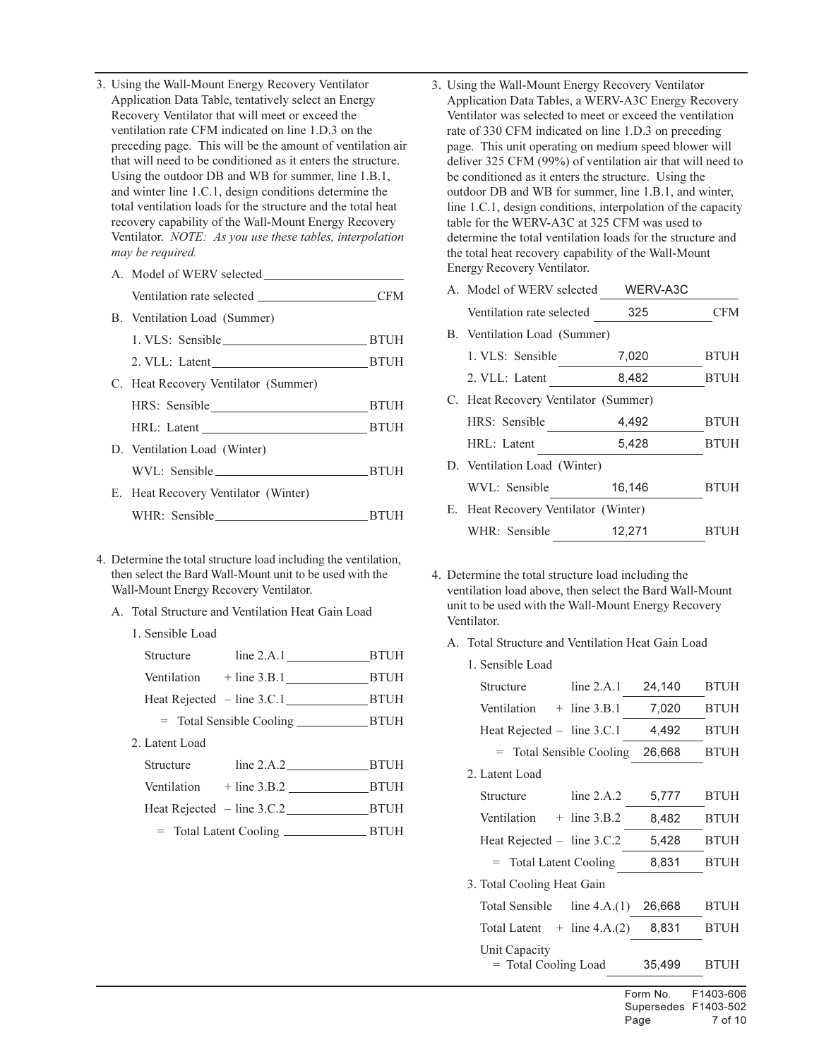- 3. Using the Wall-Mount Energy Recovery Ventilator Application Data Table, tentatively select an Energy Recovery Ventilator that will meet or exceed the ventilation rate CFM indicated on line 1.D.3 on the preceding page. This will be the amount of ventilation air that will need to be conditioned as it enters the structure. Using the outdoor DB and WB for summer, line 1.B.1, and winter line 1.C.1, design conditions determine the total ventilation loads for the structure and the total heat recovery capability of the Wall-Mount Energy Recovery Ventilator. NOTE: As you use these tables, interpolation may be required.
	- A. Model of WERV selected Ventilation rate selected CFM B. Ventilation Load (Summer) 1. VLS: Sensible BTUH 2. VLL: Latent BTUH C. Heat Recovery Ventilator (Summer) HRS: Sensible BTUH HRL: Latent BTUH D. Ventilation Load (Winter) WVL: Sensible BTUH
	- E. Heat Recovery Ventilator (Winter) WHR: Sensible BTUH
- 4. Determine the total structure load including the ventilation, then select the Bard Wall-Mount unit to be used with the Wall-Mount Energy Recovery Ventilator.
	- A. Total Structure and Ventilation Heat Gain Load
		- 1. Sensible Load

| 2. Latent Load |                                 |  |
|----------------|---------------------------------|--|
|                | Structure line 2.A.2 BTUH       |  |
|                | Ventilation $+$ line 3.B.2 BTUH |  |
|                |                                 |  |
|                |                                 |  |
|                |                                 |  |

3. Using the Wall-Mount Energy Recovery Ventilator Application Data Tables, a WERV-A3C Energy Recovery Ventilator was selected to meet or exceed the ventilation rate of 330 CFM indicated on line 1.D.3 on preceding page. This unit operating on medium speed blower will deliver 325 CFM (99%) of ventilation air that will need to be conditioned as it enters the structure. Using the outdoor DB and WB for summer, line 1.B.1, and winter, line 1.C.1, design conditions, interpolation of the capacity table for the WERV-A3C at 325 CFM was used to determine the total ventilation loads for the structure and the total heat recovery capability of the Wall-Mount Energy Recovery Ventilator.

| A. Model of WERV selected            | WERV-A3C |             |
|--------------------------------------|----------|-------------|
| Ventilation rate selected            | 325      | CFM         |
| B. Ventilation Load (Summer)         |          |             |
| 1. VLS: Sensible                     | 7,020    | <b>BTUH</b> |
| 2. VLL: Latent                       | 8,482    | <b>BTUH</b> |
| C. Heat Recovery Ventilator (Summer) |          |             |
| HRS: Sensible                        | 4.492    | <b>BTUH</b> |
| HRL: Latent                          | 5,428    | <b>BTUH</b> |
| D. Ventilation Load (Winter)         |          |             |
| WVL: Sensible                        | 16,146   | <b>BTUH</b> |
| E. Heat Recovery Ventilator (Winter) |          |             |
| WHR: Sensible                        | 12.271   | BTUH        |

- 4. Determine the total structure load including the ventilation load above, then select the Bard Wall-Mount unit to be used with the Wall-Mount Energy Recovery Ventilator.
	- A. Total Structure and Ventilation Heat Gain Load

| 1. Sensible Load                      |                  |        |             |
|---------------------------------------|------------------|--------|-------------|
| Structure                             | line 2.A.1       | 24,140 | <b>BTUH</b> |
| Ventilation                           | $+$ line 3.B.1   | 7,020  | <b>BTUH</b> |
| Heat Rejected $-$ line 3.C.1          |                  | 4,492  | <b>BTUH</b> |
| $=$ Total Sensible Cooling            |                  | 26,668 | <b>BTUH</b> |
| 2. Latent Load                        |                  |        |             |
| Structure                             | line $2.A.2$     | 5,777  | <b>BTUH</b> |
| Ventilation                           | $+$ line 3.B.2   | 8,482  | <b>BTUH</b> |
| Heat Rejected $-$ line 3.C.2          |                  | 5,428  | <b>BTUH</b> |
| = Total Latent Cooling                |                  | 8,831  | <b>BTUH</b> |
| 3. Total Cooling Heat Gain            |                  |        |             |
| Total Sensible                        | line $4.A.(1)$   | 26,668 | <b>BTUH</b> |
| Total Latent                          | $+$ line 4.A.(2) | 8,831  | <b>BTUH</b> |
| Unit Capacity<br>= Total Cooling Load |                  | 35,499 | BTUH        |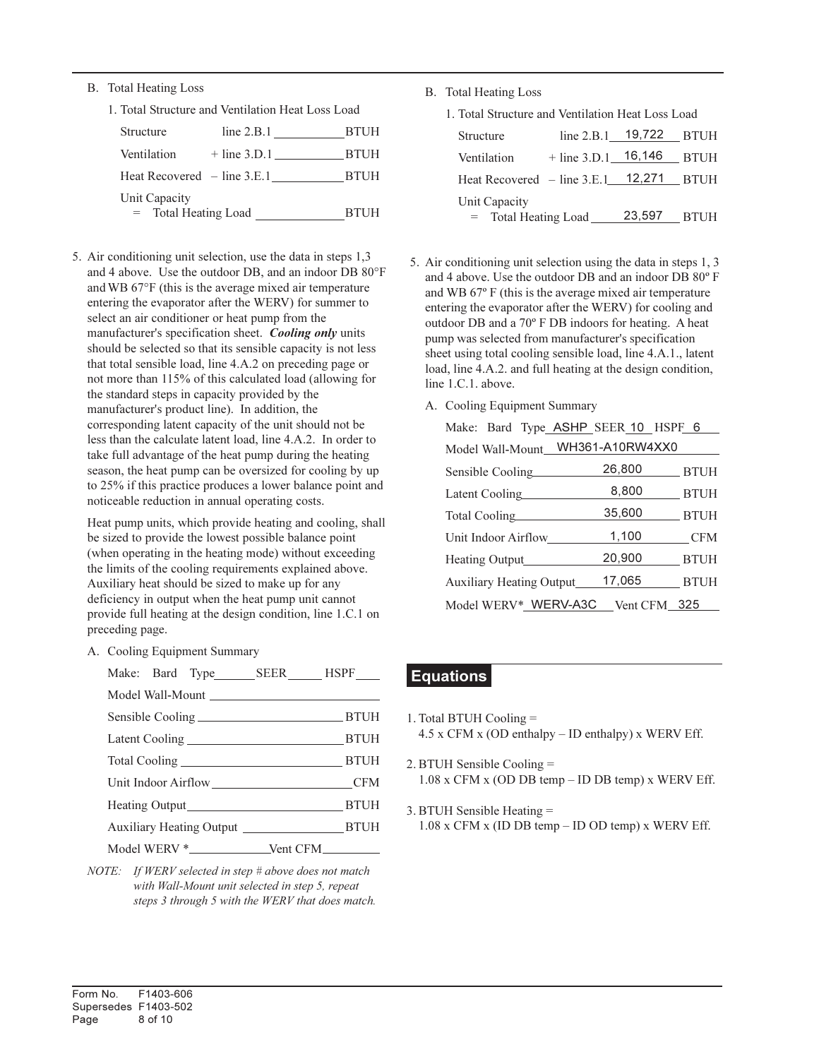- B. Total Heating Loss
	- 1. Total Structure and Ventilation Heat Loss Load

| Structure                               | line $2.B.1$   | <b>BTUH</b> |
|-----------------------------------------|----------------|-------------|
| Ventilation                             | $+$ line 3.D.1 | <b>BTUH</b> |
| Heat Recovered $-$ line 3.E.1           |                | <b>BTUH</b> |
| Unit Capacity<br>$=$ Total Heating Load |                | <b>BTUH</b> |

5. Air conditioning unit selection, use the data in steps 1,3 and 4 above. Use the outdoor DB, and an indoor DB 80°F and WB 67°F (this is the average mixed air temperature entering the evaporator after the WERV) for summer to select an air conditioner or heat pump from the manufacturer's specification sheet. Cooling only units should be selected so that its sensible capacity is not less that total sensible load, line 4.A.2 on preceding page or not more than 115% of this calculated load (allowing for the standard steps in capacity provided by the manufacturer's product line). In addition, the corresponding latent capacity of the unit should not be less than the calculate latent load, line 4.A.2. In order to take full advantage of the heat pump during the heating season, the heat pump can be oversized for cooling by up to 25% if this practice produces a lower balance point and noticeable reduction in annual operating costs.

Heat pump units, which provide heating and cooling, shall be sized to provide the lowest possible balance point (when operating in the heating mode) without exceeding the limits of the cooling requirements explained above. Auxiliary heat should be sized to make up for any deficiency in output when the heat pump unit cannot provide full heating at the design condition, line 1.C.1 on preceding page.

A. Cooling Equipment Summary

| Unit Indoor Airflow CFM |  |
|-------------------------|--|
|                         |  |
|                         |  |
|                         |  |

NOTE: If WERV selected in step # above does not match with Wall-Mount unit selected in step 5, repeat steps 3 through 5 with the WERV that does match. B. Total Heating Loss

| 1. Total Structure and Ventilation Heat Loss Load |
|---------------------------------------------------|
|---------------------------------------------------|

| <b>Structure</b>                     | line $2.B.1$ 19,722 |        | <b>BTUH</b> |
|--------------------------------------|---------------------|--------|-------------|
| Ventilation                          | $+$ line 3.D.1      | 16,146 | <b>BTUH</b> |
| Heat Recovered $-$ line 3.E.1 12,271 |                     |        | <b>BTUH</b> |
| Unit Capacity                        |                     | 23,597 | <b>BTUH</b> |
| $=$ Total Heating Load               |                     |        |             |

- 5. Air conditioning unit selection using the data in steps 1, 3 and 4 above. Use the outdoor DB and an indoor DB 80º F and WB 67º F (this is the average mixed air temperature entering the evaporator after the WERV) for cooling and outdoor DB and a 70º F DB indoors for heating. A heat pump was selected from manufacturer's specification sheet using total cooling sensible load, line 4.A.1., latent load, line 4.A.2. and full heating at the design condition, line 1.C.1. above.
	- A. Cooling Equipment Summary

| Make: Bard Type ASHP SEER 10 HSPF 6 |              |             |
|-------------------------------------|--------------|-------------|
| Model Wall-Mount_WH361-A10RW4XX0    |              |             |
| Sensible Cooling                    | 26,800       | _ BTUH      |
| Latent Cooling                      | 8,800        | BTUH        |
| Total Cooling                       | 35,600       | _ BTUH      |
| Unit Indoor Airflow                 | 1,100        | CFM         |
| <b>Heating Output</b>               | 20,900       | <b>BTUH</b> |
| <b>Auxiliary Heating Output</b>     | 17,065       | <b>BTUH</b> |
| Model WERV*_WERV-A3C                | Vent CFM 325 |             |

## Equations

- 1. Total BTUH Cooling = 4.5 x CFM x (OD enthalpy – ID enthalpy) x WERV Eff.
- 2. BTUH Sensible Cooling = 1.08 x CFM x (OD DB temp – ID DB temp) x WERV Eff.
- 3. BTUH Sensible Heating = 1.08 x CFM x (ID DB temp – ID OD temp) x WERV Eff.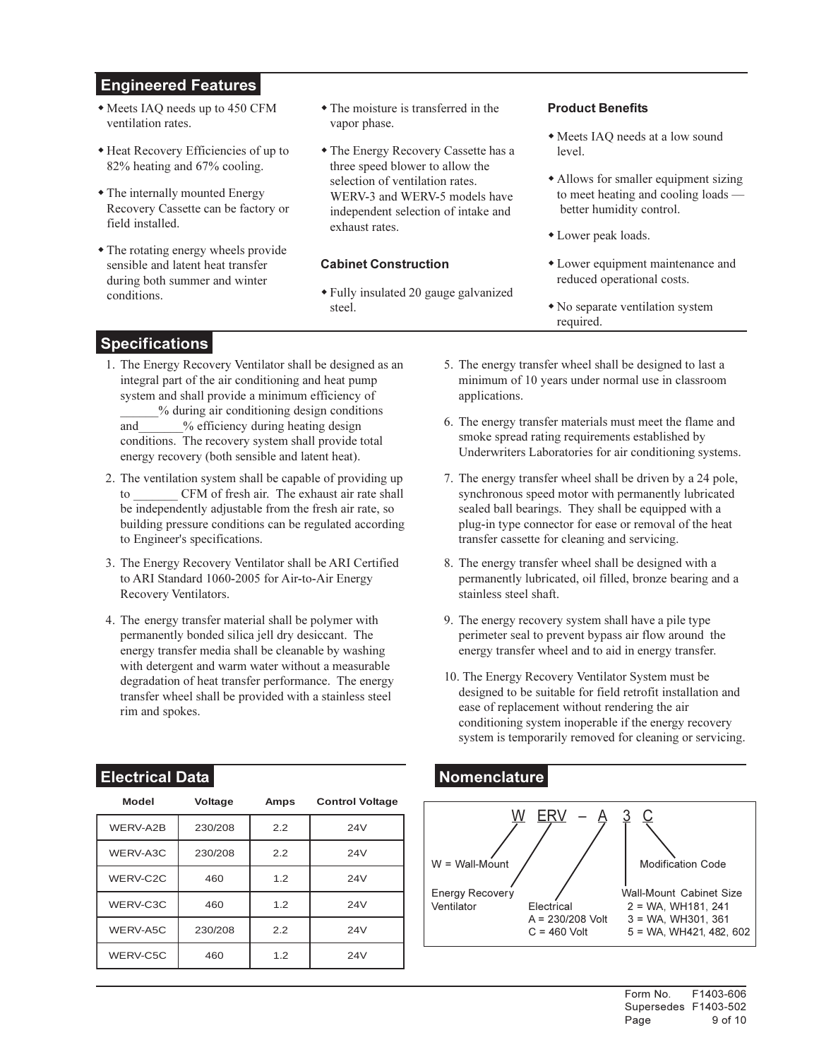## Engineered Features

- Meets IAQ needs up to 450 CFM ventilation rates.
- Heat Recovery Efficiencies of up to 82% heating and 67% cooling.
- The internally mounted Energy Recovery Cassette can be factory or field installed.
- The rotating energy wheels provide sensible and latent heat transfer during both summer and winter conditions.
- The moisture is transferred in the vapor phase.
- The Energy Recovery Cassette has a three speed blower to allow the selection of ventilation rates. WERV-3 and WERV-5 models have independent selection of intake and exhaust rates.

#### Cabinet Construction

- Fully insulated 20 gauge galvanized steel.

#### Product Benefits

- Meets IAQ needs at a low sound level.
- Allows for smaller equipment sizing to meet heating and cooling loads better humidity control.
- Lower peak loads.
- Lower equipment maintenance and reduced operational costs.
- No separate ventilation system required.

## Specifications

- 1. The Energy Recovery Ventilator shall be designed as an integral part of the air conditioning and heat pump system and shall provide a minimum efficiency of \_\_\_\_\_\_% during air conditioning design conditions and % efficiency during heating design conditions. The recovery system shall provide total energy recovery (both sensible and latent heat).
- 2. The ventilation system shall be capable of providing up CFM of fresh air. The exhaust air rate shall be independently adjustable from the fresh air rate, so building pressure conditions can be regulated according to Engineer's specifications.
- 3. The Energy Recovery Ventilator shall be ARI Certified to ARI Standard 1060-2005 for Air-to-Air Energy Recovery Ventilators.
- 4. The energy transfer material shall be polymer with permanently bonded silica jell dry desiccant. The energy transfer media shall be cleanable by washing with detergent and warm water without a measurable degradation of heat transfer performance. The energy transfer wheel shall be provided with a stainless steel rim and spokes.

## Electrical Data Nomenclature

| <b>Model</b> | <b>Voltage</b> | Amps | <b>Control Voltage</b> |
|--------------|----------------|------|------------------------|
| WERV-A2B     | 230/208        | 2.2  | 24V                    |
| WERV-A3C     | 230/208        | 2.2  | 24V                    |
| WERV-C2C     | 460            | 1.2  | 24V                    |
| WERV-C3C     | 460            | 1.2  | 24V                    |
| WERV-A5C     | 230/208        | 2.2  | 24V                    |
| WERV-C5C     | 460            | 1.2  | 24V                    |

- 5. The energy transfer wheel shall be designed to last a minimum of 10 years under normal use in classroom applications.
- 6. The energy transfer materials must meet the flame and smoke spread rating requirements established by Underwriters Laboratories for air conditioning systems.
- 7. The energy transfer wheel shall be driven by a 24 pole, synchronous speed motor with permanently lubricated sealed ball bearings. They shall be equipped with a plug-in type connector for ease or removal of the heat transfer cassette for cleaning and servicing.
- 8. The energy transfer wheel shall be designed with a permanently lubricated, oil filled, bronze bearing and a stainless steel shaft.
- 9. The energy recovery system shall have a pile type perimeter seal to prevent bypass air flow around the energy transfer wheel and to aid in energy transfer.
- 10. The Energy Recovery Ventilator System must be designed to be suitable for field retrofit installation and ease of replacement without rendering the air conditioning system inoperable if the energy recovery system is temporarily removed for cleaning or servicing.